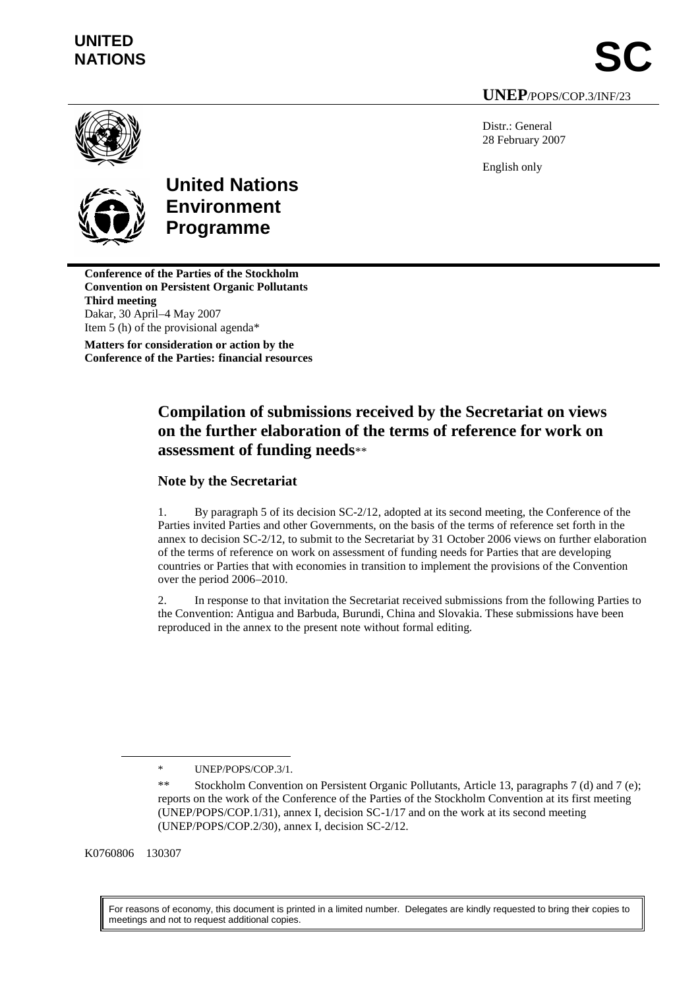# **UNITED**

**NATIONS SC UNEP**/POPS/COP.3/INF/23

Distr.: General 28 February 2007

English only



**United Nations Environment Programme**

**Conference of the Parties of the Stockholm Convention on Persistent Organic Pollutants Third meeting** Dakar, 30 April–4 May 2007 Item 5 (h) of the provisional agenda\*

**Matters for consideration or action by the Conference of the Parties: financial resources**

## **Compilation of submissions received by the Secretariat on views on the further elaboration of the terms of reference for work on assessment of funding needs**\*\*

## **Note by the Secretariat**

1. By paragraph 5 of its decision SC-2/12, adopted at its second meeting, the Conference of the Parties invited Parties and other Governments, on the basis of the terms of reference set forth in the annex to decision SC-2/12, to submit to the Secretariat by 31 October 2006 views on further elaboration of the terms of reference on work on assessment of funding needs for Parties that are developing countries or Parties that with economies in transition to implement the provisions of the Convention over the period 2006–2010.

2. In response to that invitation the Secretariat received submissions from the following Parties to the Convention: Antigua and Barbuda, Burundi, China and Slovakia. These submissions have been reproduced in the annex to the present note without formal editing.

K0760806 130307

 $\overline{a}$ 

For reasons of economy, this document is printed in a limited number. Delegates are kindly requested to bring their copies to meetings and not to request additional copies.

<sup>\*</sup> UNEP/POPS/COP.3/1.

<sup>\*\*</sup> Stockholm Convention on Persistent Organic Pollutants, Article 13, paragraphs 7 (d) and 7 (e); reports on the work of the Conference of the Parties of the Stockholm Convention at its first meeting (UNEP/POPS/COP.1/31), annex I, decision SC-1/17 and on the work at its second meeting (UNEP/POPS/COP.2/30), annex I, decision SC-2/12.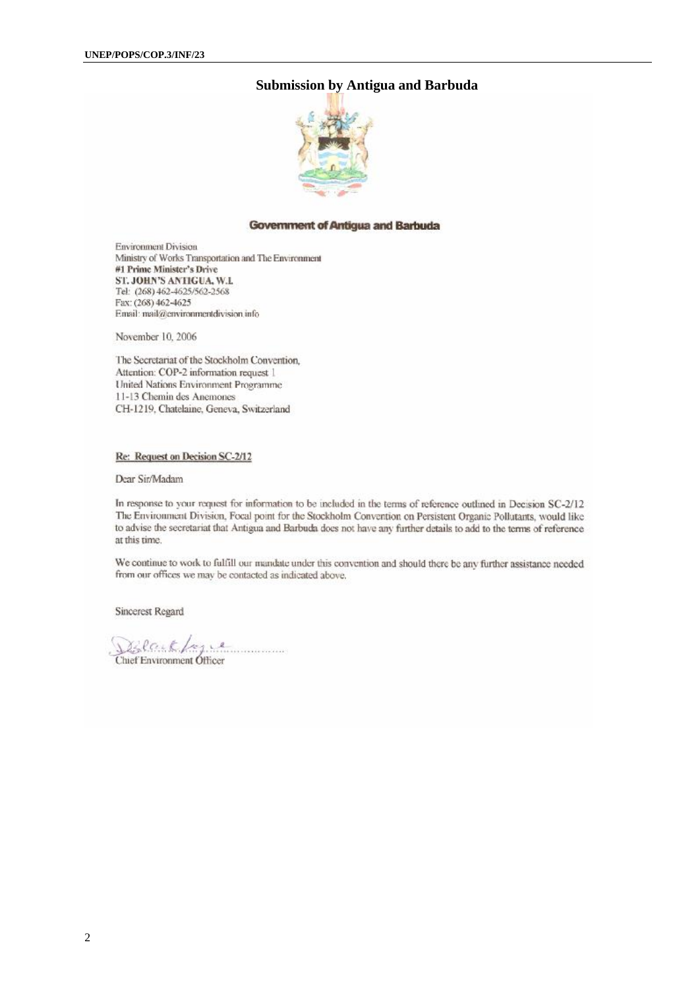### **Submission by Antigua and Barbuda**



#### **Government of Antigua and Barbuda**

**Environment Division** Ministry of Works Transportation and The Environment #1 Prime Minister's Drive ST. JOHN'S ANTIGUA, W.L Tel: (268) 462-4625/562-2568 Fax: (268) 462-4625 Email: mail@environmentdivision.info

November 10, 2006

The Secretariat of the Stockholm Convention. Attention: COP-2 information request 1 United Nations Environment Programme 11-13 Chemin des Anemones CH-1219. Chatelaine. Geneva. Switzerland

#### Re: Request on Decision SC-2/12

Dear Sir/Madam

In response to your request for information to be included in the terms of reference outlined in Decision SC-2/12 The Environment Division, Focal point for the Stockholm Convention on Persistent Organic Pollutants, would like to advise the secretariat that Antigua and Barbuda does not have any further details to add to the terms of reference at this time.

We continue to work to fulfill our mandate under this convention and should there be any further assistance needed from our offices we may be contacted as indicated above.

Sincerest Regard

DElark Log e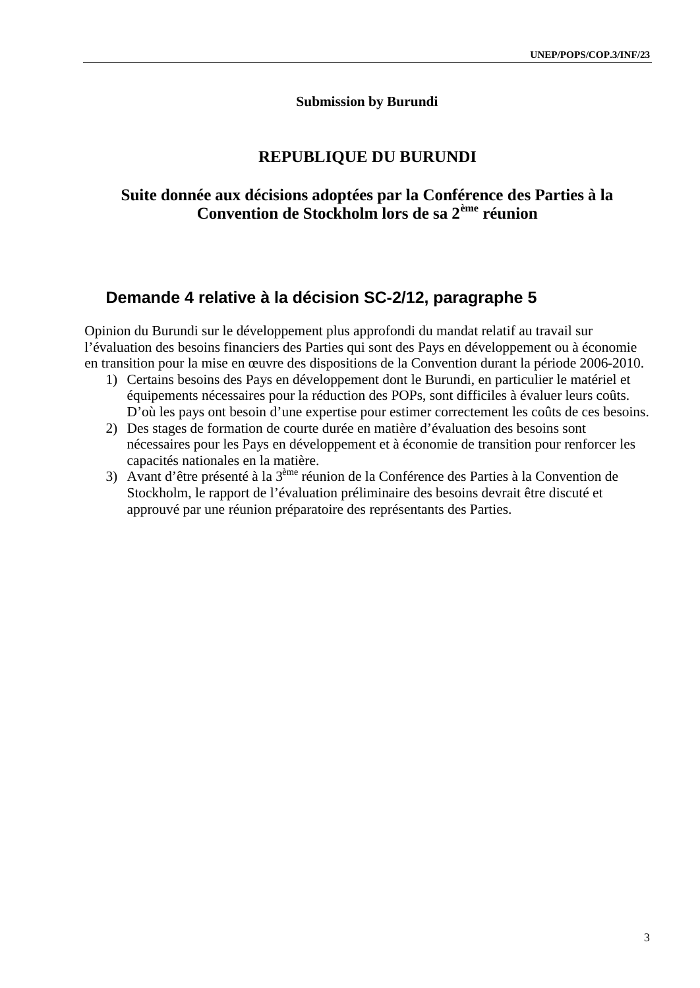### **Submission by Burundi**

## **REPUBLIQUE DU BURUNDI**

## **Suite donnée aux décisions adoptées par la Conférence des Parties à la Convention de Stockholm lors de sa 2ème réunion**

## **Demande 4 relative à la décision SC-2/12, paragraphe 5**

Opinion du Burundi sur le développement plus approfondi du mandat relatif au travail sur l'évaluation des besoins financiers des Parties qui sont des Pays en développement ou à économie en transition pour la mise en œuvre des dispositions de la Convention durant la période 2006-2010.

- 1) Certains besoins des Pays en développement dont le Burundi, en particulier le matériel et équipements nécessaires pour la réduction des POPs, sont difficiles à évaluer leurs coûts. D'où les pays ont besoin d'une expertise pour estimer correctement les coûts de ces besoins.
- 2) Des stages de formation de courte durée en matière d'évaluation des besoins sont nécessaires pour les Pays en développement et à économie de transition pour renforcer les capacités nationales en la matière.
- 3) Avant d'être présenté à la 3ème réunion de la Conférence des Parties à la Convention de Stockholm, le rapport de l'évaluation préliminaire des besoins devrait être discuté et approuvé par une réunion préparatoire des représentants des Parties.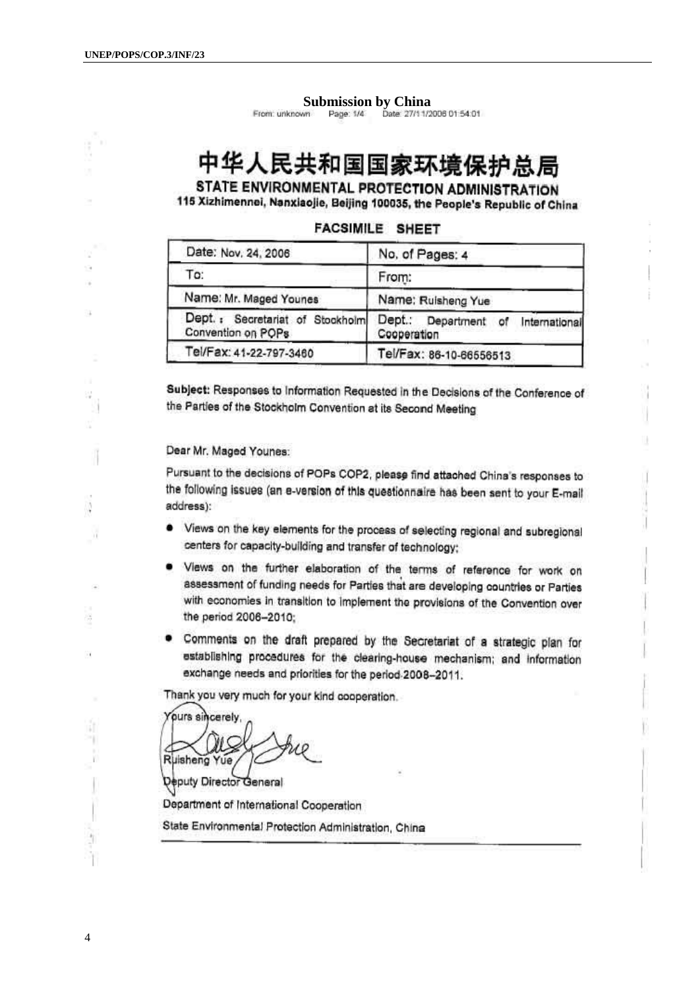ĭ.

ίť,

 $\overline{4}$ 

#### **Submission by China**

Date: 27/11/2006 01:54:01 From: unknown Page: 1/4

## 中华人民共和国国家环境保护总局

STATE ENVIRONMENTAL PROTECTION ADMINISTRATION 115 Xizhimennei, Nanxiaojie, Beijing 100035, the People's Republic of China

| Date: Nov. 24, 2006     | No, of Pages: 4                                         |  |
|-------------------------|---------------------------------------------------------|--|
| To:                     | From:                                                   |  |
| Name: Mr. Maged Younes  | Name: Ruisheng Yue                                      |  |
| Convention on POPs      | Dept.:<br>Department of<br>International<br>Cooperation |  |
| Tel/Fax: 41-22-797-3460 | Tel/Fax: 86-10-66556513                                 |  |
|                         | Dept.: Secretariat of Stockholm                         |  |

**FACSIMILE SHEET** 

Subject: Responses to Information Requested in the Decisions of the Conference of the Parties of the Stockholm Convention at its Second Meeting

Dear Mr. Maged Younes:

Pursuant to the decisions of POPs COP2, please find attached China's responses to the following issues (an e-version of this questionnaire has been sent to your E-mail address):

- Views on the key elements for the process of selecting regional and subregional centers for capacity-building and transfer of technology;
- . Views on the further elaboration of the terms of reference for work on assessment of funding needs for Parties that are developing countries or Parties with economies in transition to implement the provisions of the Convention over the period 2006-2010:
- . Comments on the draft prepared by the Secretariat of a strategic plan for establishing procedures for the clearing-house mechanism; and information exchange needs and priorities for the period 2008-2011.

Thank you very much for your kind cooperation.

ours sincerely Ruisheng Yue

Deputy Director General

Department of International Cooperation

State Environmental Protection Administration, China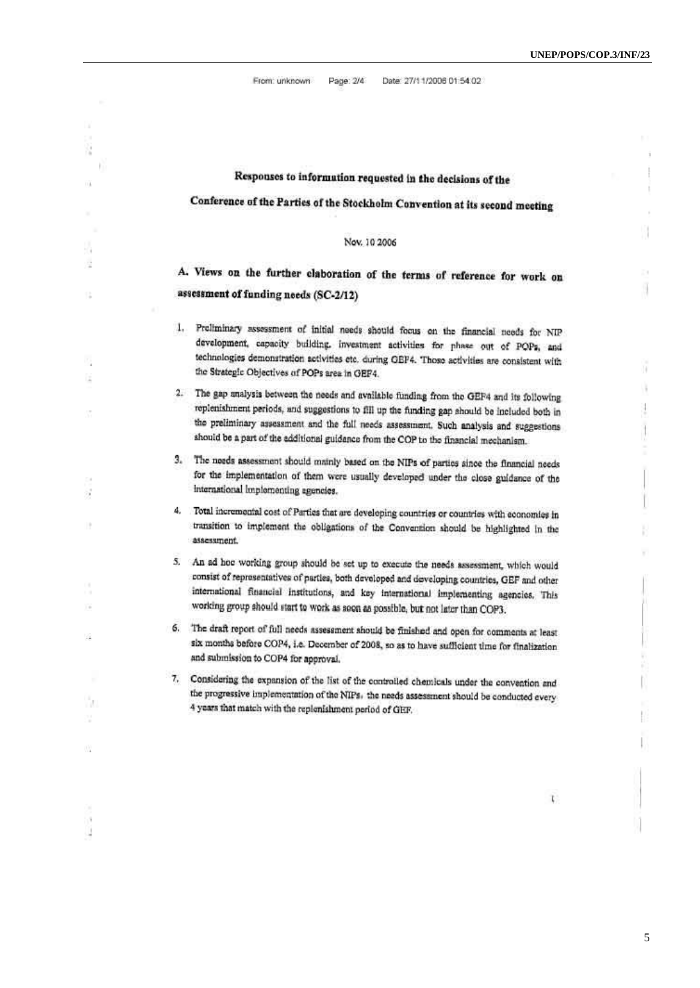$\bar{1}$  $\mathfrak{f}$ 

÷  $\bar{t}$ Ñ.

 $\bar{\nu}$ Ī

ñ

¥  $\frac{1}{2}$ 

r

Ï

From: unknown Page: 2/4 Date: 27/11/2006 01:54:02

| Ñ   |                                                                                                                                                                                                                                                                                                                                                                                   |
|-----|-----------------------------------------------------------------------------------------------------------------------------------------------------------------------------------------------------------------------------------------------------------------------------------------------------------------------------------------------------------------------------------|
|     |                                                                                                                                                                                                                                                                                                                                                                                   |
| 118 | Responses to information requested in the decisions of the                                                                                                                                                                                                                                                                                                                        |
|     | Conference of the Parties of the Stockholm Convention at its second meeting                                                                                                                                                                                                                                                                                                       |
|     | Nov. 10 2006                                                                                                                                                                                                                                                                                                                                                                      |
| ċ   | A. Views on the further elaboration of the terms of reference for work on                                                                                                                                                                                                                                                                                                         |
|     | assessment of funding needs (SC-2/12)                                                                                                                                                                                                                                                                                                                                             |
| iz  | 1. Preliminary assessment of initial needs should focus on the financial needs for NIP<br>development, capacity building, investment activities for phase out of POPs, and<br>technologies demonstration activities etc. during GEP4. Those activities are consistent with<br>the Strategic Objectives of POPs area in GEF4.                                                      |
|     | 2.<br>The gap analysis between the needs and available funding from the GEF4 and its following<br>replenishment periods, and suggestions to fill up the funding gap should be included both in<br>the preliminary assessment and the full needs assessment. Such analysis and suggestions<br>should be a part of the additional guidance from the COP to the financial mechanism. |
|     | 3. The needs assessment should mainly based on the NIPs of parties since the financial needs<br>for the implementation of them were usually developed under the close guidance of the<br>international implementing agencies.                                                                                                                                                     |
| 18  | 4. Total incremental cost of Parties that are developing countries or countries with economies in<br>transition to implement the obligations of the Convention should be highlighted in the<br>assessment.                                                                                                                                                                        |
|     | 5. An ad hoc working group should be set up to execute the needs assessment, which would<br>consist of representatives of parties, both developed and developing countries, GEF and other<br>international financial institutions, and key international implementing agencies. This<br>working group should start to work as soon as possible, but not later than COP3.          |
| 塳   | 6.<br>The draft report of full needs assessment should be finished and open for comments at least<br>six months before COP4, i.e. December of 2008, so as to have sufficient time for finalization<br>and submission to COP4 for approval.                                                                                                                                        |
| ή.  | 7.<br>Considering the expansion of the list of the controlled chemicals under the convention and<br>the progressive implementation of the NIPs. the needs assessment should be conducted every<br>4 years that match with the replenishment period of GEF.                                                                                                                        |
| w   |                                                                                                                                                                                                                                                                                                                                                                                   |
|     | t.                                                                                                                                                                                                                                                                                                                                                                                |
|     |                                                                                                                                                                                                                                                                                                                                                                                   |